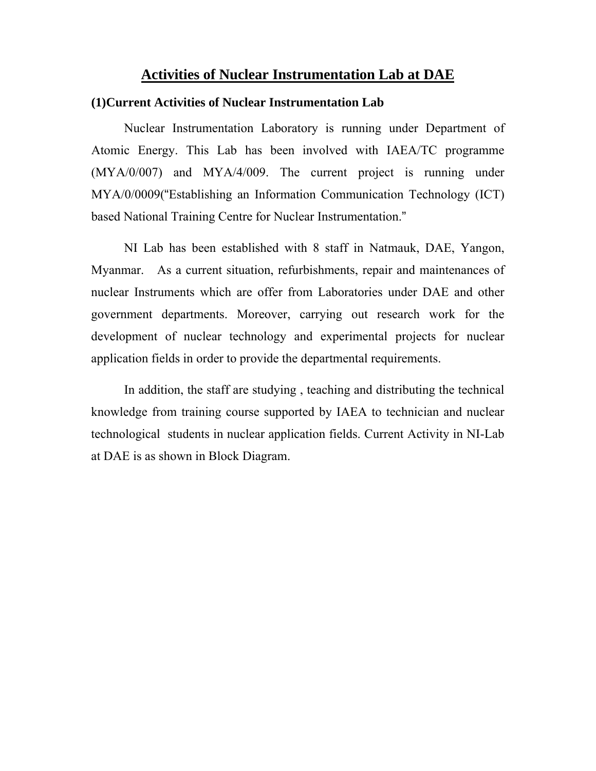## **Activities of Nuclear Instrumentation Lab at DAE**

#### **(1)Current Activities of Nuclear Instrumentation Lab**

Nuclear Instrumentation Laboratory is running under Department of Atomic Energy. This Lab has been involved with IAEA/TC programme (MYA/0/007) and MYA/4/009. The current project is running under MYA/0/0009("Establishing an Information Communication Technology (ICT) based National Training Centre for Nuclear Instrumentation."

NI Lab has been established with 8 staff in Natmauk, DAE, Yangon, Myanmar. As a current situation, refurbishments, repair and maintenances of nuclear Instruments which are offer from Laboratories under DAE and other government departments. Moreover, carrying out research work for the development of nuclear technology and experimental projects for nuclear application fields in order to provide the departmental requirements.

In addition, the staff are studying , teaching and distributing the technical knowledge from training course supported by IAEA to technician and nuclear technological students in nuclear application fields. Current Activity in NI-Lab at DAE is as shown in Block Diagram.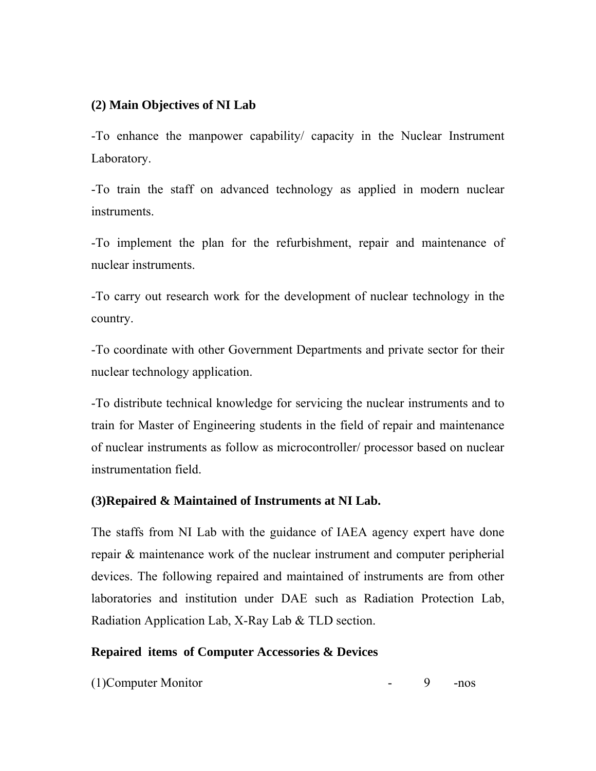# **(2) Main Objectives of NI Lab**

-To enhance the manpower capability/ capacity in the Nuclear Instrument Laboratory.

-To train the staff on advanced technology as applied in modern nuclear instruments.

-To implement the plan for the refurbishment, repair and maintenance of nuclear instruments.

-To carry out research work for the development of nuclear technology in the country.

-To coordinate with other Government Departments and private sector for their nuclear technology application.

-To distribute technical knowledge for servicing the nuclear instruments and to train for Master of Engineering students in the field of repair and maintenance of nuclear instruments as follow as microcontroller/ processor based on nuclear instrumentation field.

## **(3)Repaired & Maintained of Instruments at NI Lab.**

The staffs from NI Lab with the guidance of IAEA agency expert have done repair & maintenance work of the nuclear instrument and computer peripherial devices. The following repaired and maintained of instruments are from other laboratories and institution under DAE such as Radiation Protection Lab, Radiation Application Lab, X-Ray Lab & TLD section.

## **Repaired items of Computer Accessories & Devices**

(1)Computer Monitor - 9 -nos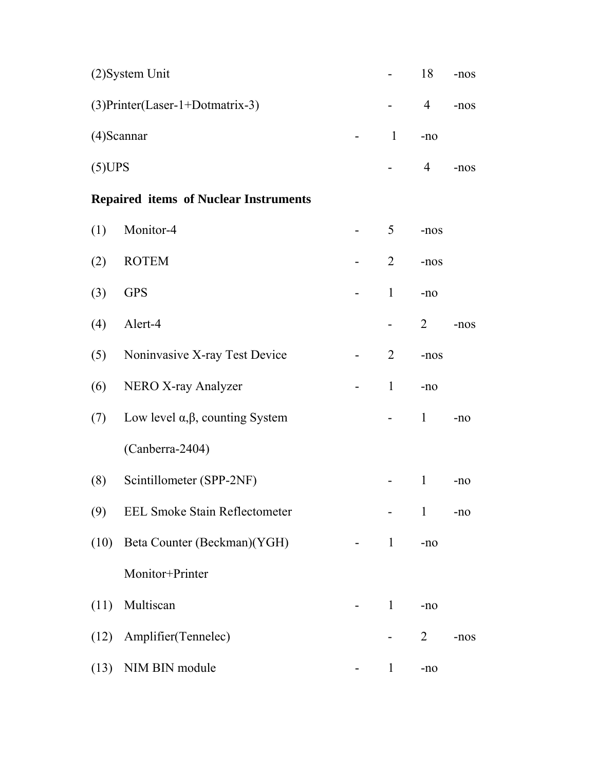| $(2)$ System Unit                  | $\sim 100$ | 18 | $-nos$ |
|------------------------------------|------------|----|--------|
| $(3)$ Printer(Laser-1+Dotmatrix-3) |            | 4  | $-nos$ |
| $(4)$ Scannar                      | $-1$ -no   |    |        |
| (5)UPS                             |            |    | -nos   |

# **Repaired items of Nuclear Instruments**

| (1)  | Monitor-4                                   | 5              | -nos           |        |
|------|---------------------------------------------|----------------|----------------|--------|
| (2)  | <b>ROTEM</b>                                | $\overline{2}$ | -nos           |        |
| (3)  | <b>GPS</b>                                  | $\mathbf{1}$   | $-no$          |        |
| (4)  | Alert-4                                     |                | 2              | $-nos$ |
| (5)  | Noninvasive X-ray Test Device               | $\overline{2}$ | -nos           |        |
| (6)  | NERO X-ray Analyzer                         | $\mathbf{1}$   | $-no$          |        |
| (7)  | Low level $\alpha, \beta$ , counting System |                | $\mathbf{1}$   | $-no$  |
|      | (Canberra-2404)                             |                |                |        |
| (8)  | Scintillometer (SPP-2NF)                    |                | $\mathbf{1}$   | $-no$  |
| (9)  | <b>EEL Smoke Stain Reflectometer</b>        |                | $\mathbf{1}$   | $-no$  |
| (10) | Beta Counter (Beckman)(YGH)                 | $\mathbf{1}$   | $-no$          |        |
|      | Monitor+Printer                             |                |                |        |
| (11) | Multiscan                                   | $\mathbf{1}$   | $-no$          |        |
| (12) | Amplifier(Tennelec)                         |                | $\overline{2}$ | $-nos$ |
| (13) | NIM BIN module                              | $\mathbf{1}$   | $-n0$          |        |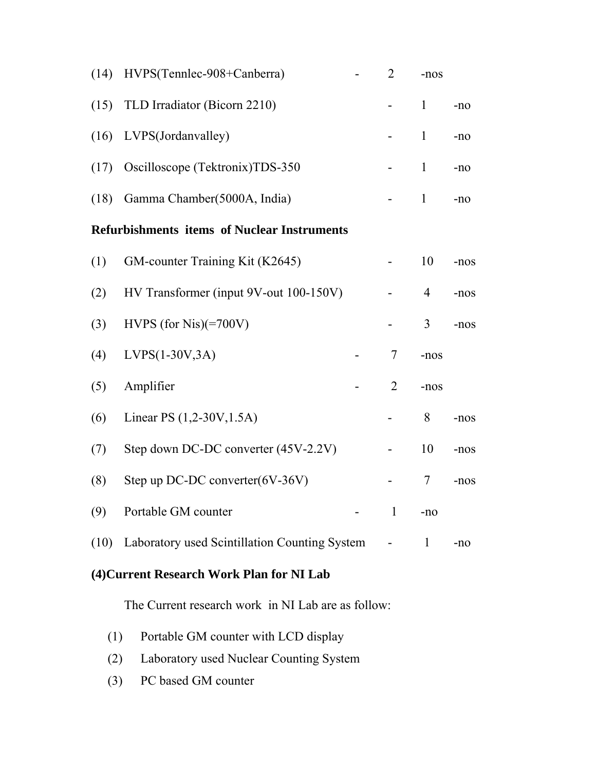| (14)                                               | HVPS(Tennlec-908+Canberra)                    |  | $\overline{2}$ | -nos           |        |  |  |
|----------------------------------------------------|-----------------------------------------------|--|----------------|----------------|--------|--|--|
| (15)                                               | TLD Irradiator (Bicorn 2210)                  |  |                | $\mathbf{1}$   | $-no$  |  |  |
| (16)                                               | LVPS(Jordanvalley)                            |  |                | $\mathbf{1}$   | $-no$  |  |  |
| (17)                                               | Oscilloscope (Tektronix)TDS-350               |  |                | $\mathbf{1}$   | $-no$  |  |  |
| (18)                                               | Gamma Chamber(5000A, India)                   |  |                | $\mathbf{1}$   | $-no$  |  |  |
| <b>Refurbishments items of Nuclear Instruments</b> |                                               |  |                |                |        |  |  |
| (1)                                                | GM-counter Training Kit (K2645)               |  |                | 10             | -nos   |  |  |
| (2)                                                | HV Transformer (input 9V-out 100-150V)        |  |                | $\overline{4}$ | -nos   |  |  |
| (3)                                                | HVPS (for Nis) $(=700V)$                      |  |                | 3              | $-nos$ |  |  |
| (4)                                                | $LVPS(1-30V,3A)$                              |  | 7              | -nos           |        |  |  |
| (5)                                                | Amplifier                                     |  | $\overline{2}$ | -nos           |        |  |  |
| (6)                                                | Linear PS (1,2-30V, 1.5A)                     |  |                | 8              | $-nos$ |  |  |
| (7)                                                | Step down DC-DC converter (45V-2.2V)          |  |                | 10             | -nos   |  |  |
| (8)                                                | Step up DC-DC converter $(6V-36V)$            |  |                | 7              | -nos   |  |  |
| (9)                                                | Portable GM counter                           |  | $\mathbf{1}$   | $-no$          |        |  |  |
| (10)                                               | Laboratory used Scintillation Counting System |  |                | $\mathbf{1}$   | $-no$  |  |  |

# **(4)Current Research Work Plan for NI Lab**

The Current research work in NI Lab are as follow:

- (1) Portable GM counter with LCD display
- (2) Laboratory used Nuclear Counting System
- (3) PC based GM counter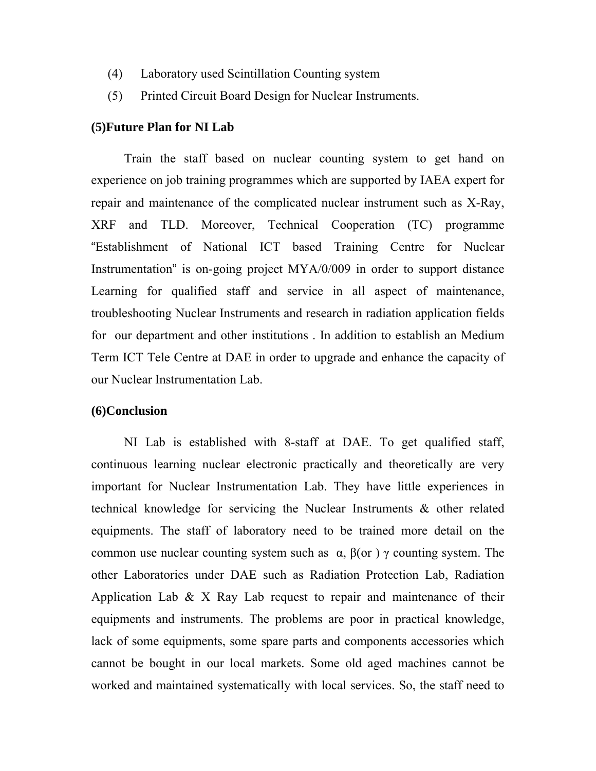- (4) Laboratory used Scintillation Counting system
- (5) Printed Circuit Board Design for Nuclear Instruments.

### **(5)Future Plan for NI Lab**

 Train the staff based on nuclear counting system to get hand on experience on job training programmes which are supported by IAEA expert for repair and maintenance of the complicated nuclear instrument such as X-Ray, XRF and TLD. Moreover, Technical Cooperation (TC) programme "Establishment of National ICT based Training Centre for Nuclear Instrumentation" is on-going project MYA/0/009 in order to support distance Learning for qualified staff and service in all aspect of maintenance, troubleshooting Nuclear Instruments and research in radiation application fields for our department and other institutions . In addition to establish an Medium Term ICT Tele Centre at DAE in order to upgrade and enhance the capacity of our Nuclear Instrumentation Lab.

#### **(6)Conclusion**

 NI Lab is established with 8-staff at DAE. To get qualified staff, continuous learning nuclear electronic practically and theoretically are very important for Nuclear Instrumentation Lab. They have little experiences in technical knowledge for servicing the Nuclear Instruments & other related equipments. The staff of laboratory need to be trained more detail on the common use nuclear counting system such as  $\alpha$ ,  $\beta$ (or) γ counting system. The other Laboratories under DAE such as Radiation Protection Lab, Radiation Application Lab  $\& X$  Ray Lab request to repair and maintenance of their equipments and instruments. The problems are poor in practical knowledge, lack of some equipments, some spare parts and components accessories which cannot be bought in our local markets. Some old aged machines cannot be worked and maintained systematically with local services. So, the staff need to